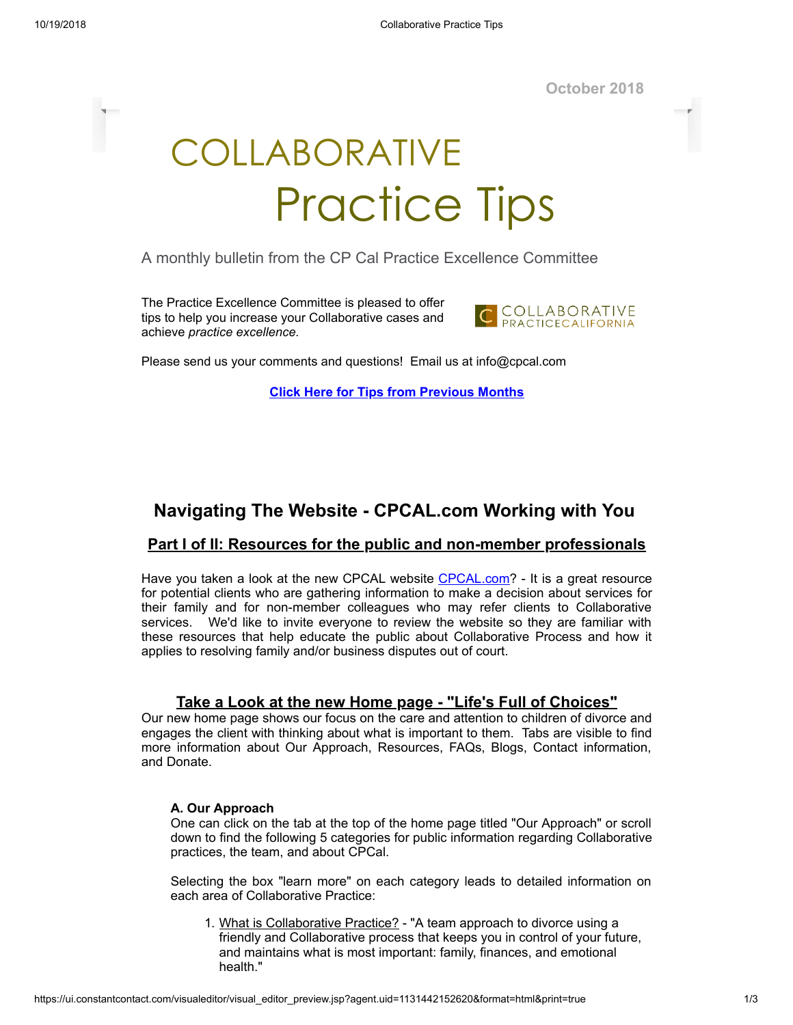**October 2018**

# COLLABORATIVE Practice Tips

A monthly bulletin from the CP Cal Practice Excellence Committee

The Practice Excellence Committee is pleased to offer tips to help you increase your Collaborative cases and achieve *practice excellence.*



Please send us your comments and questions! Email us at info@cpcal.com

**Click Here for Tips from [Previous](http://www.cpcal.com/for-professionals/practice-tips-newsletter/) Months**

# **Navigating The Website - CPCAL.com Working with You**

# **Part I of II: Resources for the public and non-member professionals**

Have you taken a look at the new CPCAL website [CPCAL.com?](https://www.cpcal.com/) - It is a great resource for potential clients who are gathering information to make a decision about services for their family and for non-member colleagues who may refer clients to Collaborative services. We'd like to invite everyone to review the website so they are familiar with these resources that help educate the public about Collaborative Process and how it applies to resolving family and/or business disputes out of court.

# **Take a Look at the new Home page - "Life's Full of Choices"**

Our new home page shows our focus on the care and attention to children of divorce and engages the client with thinking about what is important to them. Tabs are visible to find more information about Our Approach, Resources, FAQs, Blogs, Contact information, and Donate.

#### **A. Our Approach**

One can click on the tab at the top of the home page titled "Our Approach" or scroll down to find the following 5 categories for public information regarding Collaborative practices, the team, and about CPCal.

Selecting the box "learn more" on each category leads to detailed information on each area of Collaborative Practice:

1. What is Collaborative Practice? - "A team approach to divorce using a friendly and Collaborative process that keeps you in control of your future, and maintains what is most important: family, finances, and emotional health."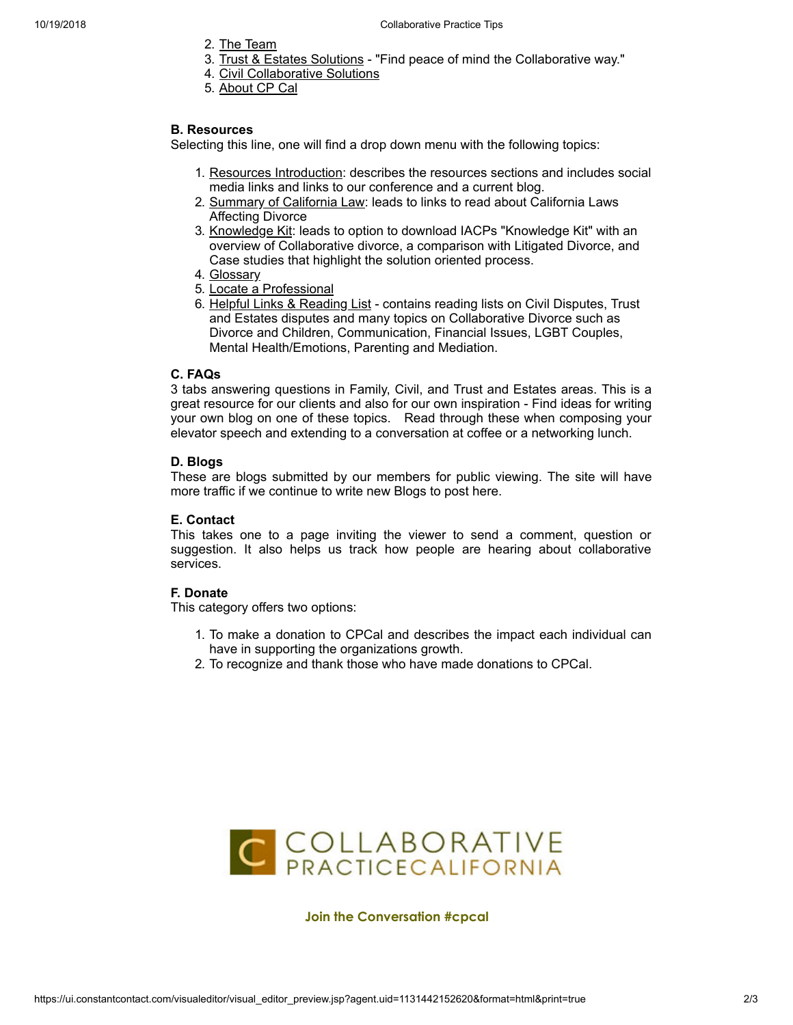- 2. The Team
- 3. Trust & Estates Solutions "Find peace of mind the Collaborative way."
- 4. Civil Collaborative Solutions
- 5. About CP Cal

#### **B. Resources**

Selecting this line, one will find a drop down menu with the following topics:

- 1. Resources Introduction: describes the resources sections and includes social media links and links to our conference and a current blog.
- 2. Summary of California Law: leads to links to read about California Laws Affecting Divorce
- 3. Knowledge Kit: leads to option to download IACPs "Knowledge Kit" with an overview of Collaborative divorce, a comparison with Litigated Divorce, and Case studies that highlight the solution oriented process.
- 4. Glossary
- 5. Locate a Professional
- 6. Helpful Links & Reading List contains reading lists on Civil Disputes, Trust and Estates disputes and many topics on Collaborative Divorce such as Divorce and Children, Communication, Financial Issues, LGBT Couples, Mental Health/Emotions, Parenting and Mediation.

#### **C. FAQs**

3 tabs answering questions in Family, Civil, and Trust and Estates areas. This is a great resource for our clients and also for our own inspiration - Find ideas for writing your own blog on one of these topics. Read through these when composing your elevator speech and extending to a conversation at coffee or a networking lunch.

#### **D. Blogs**

These are blogs submitted by our members for public viewing. The site will have more traffic if we continue to write new Blogs to post here.

# **E. Contact**

This takes one to a page inviting the viewer to send a comment, question or suggestion. It also helps us track how people are hearing about collaborative services.

# **F. Donate**

This category offers two options:

- 1. To make a donation to CPCal and describes the impact each individual can have in supporting the organizations growth.
- 2. To recognize and thank those who have made donations to CPCal.



**Join the Conversation #cpcal**